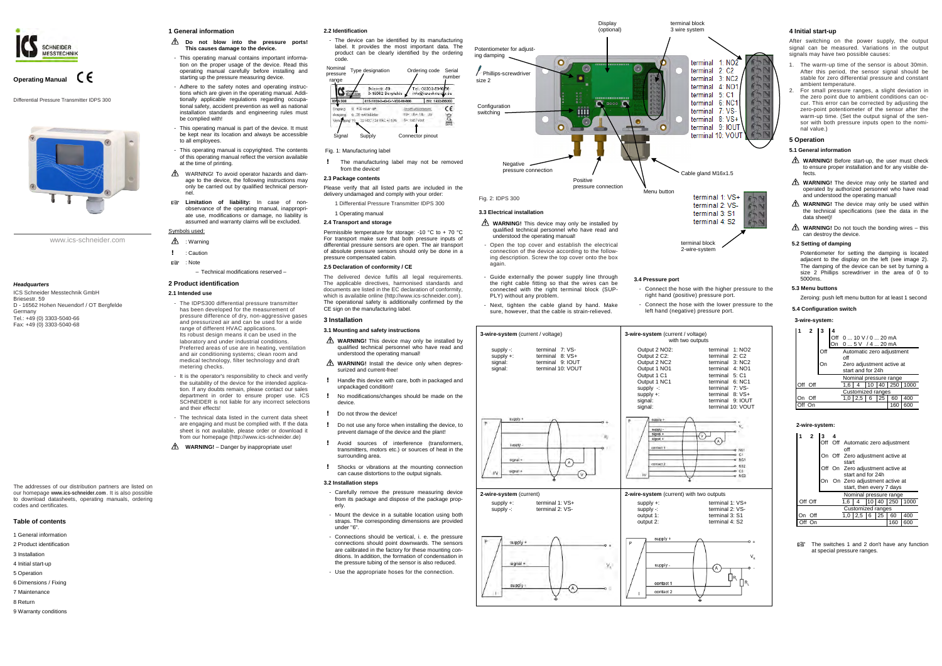www.ics-schneider.com



# **Operating Manual**

Differential Pressure Transmitter IDPS 300



#### *Headquarters*

ICS Schneider Messtechnik GmbH Briesestr. 59 D - 16562 Hohen Neuendorf / OT Bergfelde Germany Tel.: +49 (0) 3303-5040-66 Fax: +49 (0) 3303-5040-68

The addresses of our distribution partners are listed on our homepage **www.ics-schneider.com** . It is also possible to download datasheets, operating manuals, ordering codes and certificates.

#### **Table of contents**

- 1 General information
- 2 Product identification
- 3 Installation
- 4 Initial start-up
- 5 Operation
- 6 Dimensions / Fixing
- 7 Maintenance
- 8 Return
- 9 Warranty conditions

#### **1 General information**

#### **Do not blow into the pressure ports! This causes damage to the device.**

- $\triangle$  : Warning
- ! : Caution
- : Note
	- Technical modifications reserved –

- The IDPS300 differential pressure transmitter has been developed for the measurement of pressure difference of dry, non-aggressive gases and pressurized air and can be used for a wide range of different HVAC applications. Its robust design means it can be used in the laboratory and under industrial conditions. Preferred areas of use are in heating, ventilation and air conditioning systems; clean room and medical technology, filter technology and draft metering checks.
- It is the operator's responsibility to check and verify the suitability of the device for the intended application. If any doubts remain, please contact our sales department in order to ensure proper use. ICS SCHNEIDER is not liable for any incorrect selections and their effects!
- The technical data listed in the current data sheet are engaging and must be complied with. If the data sheet is not available, please order or download it from our homepage (http://www.ics-schneider.de)
- **M WARNING!** Danger by inappropriate use!
- This operating manual contains important information on the proper usage of the device. Read this operating manual carefully before installing and starting up the pressure measuring device.
- Adhere to the safety notes and operating instructions which are given in the operating manual. Additionally applicable regulations regarding occupational safety, accident prevention as well as national installation standards and engineering rules must be complied with!
- This operating manual is part of the device. It must be kept near its location and always be accessible to all employees.
- This operating manual is copyrighted. The contents of this operating manual reflect the version available at the time of printing.
- $\triangle$  WARNING! To avoid operator hazards and damage to the device, the following instructions may only be carried out by qualified technical personnel.
- **Limitation of liability:** In case of nonobservance of the operating manual, inappropriate use, modifications or damage, no liability is assumed and warranty claims will be excluded.

The manufacturing label may not be removed from the device!

# Symbols used:

# **2 Product identification**

# **2.1 Intended use**

The delivered device fulfils all legal requirements. The applicable directives, harmonised standards and documents are listed in the EC declaration of conformity, which is available online (http://www.ics-schneider.com). The operational safety is additionally confirmed by the CE sign on the manufacturing label.

**2.2 Identification**

- The device can be identified by its manufacturing label. It provides the most important data. The product can be clearly identified by the ordering

After switching on the power supply, the output signal can be measured. Variations in the output signals may have two possible causes:

# **2.3 Package contents**

Please verify that all listed parts are included in the delivery undamaged and comply with your order:

- 1 Differential Pressure Transmitter IDPS 300
- 1 Operating manual

# **2.4 Transport and storage**

Permissible temperature for storage: -10 °C to + 70 °C For transport make sure that both pressure inputs of differential pressure sensors are open. The air transport of absolute pressure sensors should only be done in a pressure compensated cabin.

- **WARNING!** Before start-up, the user must check to ensure proper installation and for any visible defects.
- **WARNING!** The device may only be started and operated by authorized personnel who have read and understood the operating manual!
- **WARNING!** The device may only be used within the technical specifications (see the data in the data sheet)!
- **WARNING!** Do not touch the bonding wires this can destroy the device.

#### **2.5 Declaration of conformity / CE**

# **3 Installation**

#### **3.1 Mounting and safety instructions**

- **WARNING!** This device may only be installed by qualified technical personnel who have read and understood the operating manual!
- **WARNING!** Install the device only when depressurized and current-free!
- ! Handle this device with care, both in packaged and unpackaged condition!
- No modifications/changes should be made on the device.
- ! Do not throw the device!
- ! Do not use any force when installing the device, to prevent damage of the device and the plant!
- ! Avoid sources of interference (transformers, transmitters, motors etc.) or sources of heat in the surrounding area.
- ! Shocks or vibrations at the mounting connection can cause distortions to the output signals.

**THE SWITCHES 1 and 2 don't have any function** at special pressure ranges.

#### **3.2 Installation steps**

- Carefully remove the pressure measuring device from its package and dispose of the package properly.
- Mount the device in a suitable location using both straps. The corresponding dimensions are provided under "6".
- Connections should be vertical, i. e. the pressure connections should point downwards. The sensors are calibrated in the factory for these mounting conditions. In addition, the formation of condensation in the pressure tubing of the sensor is also reduced.
- Use the appropriate hoses for the connection.



# Fig. 1: Manufacturing label

# **4 Initial start-up**

- 1. The warm-up time of the sensor is about 30min. After this period, the sensor signal should be stable for zero differential pressure and constant ambient temperature.
- 2. For small pressure ranges, a slight deviation in the zero point due to ambient conditions can occur. This error can be corrected by adjusting the zero-point potentiometer of the sensor after the warm-up time. (Set the output signal of the sensor with both pressure inputs open to the nominal value.)

# **5 Operation**

# **5.1 General information**

#### **5.2 Setting of damping**

 Potentiometer for setting the damping is located adjacent to the display on the left (see image 2). The damping of the device can be set by turning a size 2 Phillips screwdriver in the area of 0 to 5000ms.

#### **5.3 Menu buttons**

Zeroing: push left menu button for at least 1 second

### **5.4 Configuration switch**

# **3-wire-system:**

| Off<br>Automatic zero adjustment<br>∩ff        |      |  |  |  |  |  |  |
|------------------------------------------------|------|--|--|--|--|--|--|
|                                                |      |  |  |  |  |  |  |
| Zero adjustment active at<br>start and for 24h |      |  |  |  |  |  |  |
| Nominal pressure range                         |      |  |  |  |  |  |  |
| 10 40 250<br>Off Off<br>1.6                    | 1000 |  |  |  |  |  |  |
| <b>Customized ranges</b>                       |      |  |  |  |  |  |  |
| 2,5<br>- 6<br>25<br>1.0<br>60<br>Off           | 400  |  |  |  |  |  |  |
| 160                                            | 600  |  |  |  |  |  |  |

#### **2-wire-system:**

|         | $\mathbf{2}$ | з                        |  |                                                          |                |  |  |     |                |  |  |
|---------|--------------|--------------------------|--|----------------------------------------------------------|----------------|--|--|-----|----------------|--|--|
|         |              |                          |  | Off Off Automatic zero adjustment                        |                |  |  |     |                |  |  |
|         |              |                          |  | off<br>On Off Zero adjustment active at<br>start         |                |  |  |     |                |  |  |
|         |              |                          |  | Off On Zero adjustment active at<br>start and for 24h    |                |  |  |     |                |  |  |
|         |              | On                       |  | On Zero adjustment active at<br>start, then every 7 days |                |  |  |     |                |  |  |
|         |              |                          |  | Nominal pressure range                                   |                |  |  |     |                |  |  |
| Off Off |              |                          |  | 1.6                                                      | 4              |  |  |     | 10 40 250 1000 |  |  |
|         |              | <b>Customized ranges</b> |  |                                                          |                |  |  |     |                |  |  |
|         | Off          |                          |  |                                                          | $1,0$ 2.5 6 25 |  |  | 60  | 400            |  |  |
|         |              |                          |  |                                                          |                |  |  | 160 | 600            |  |  |

terminal block

- 
- 



**Display**